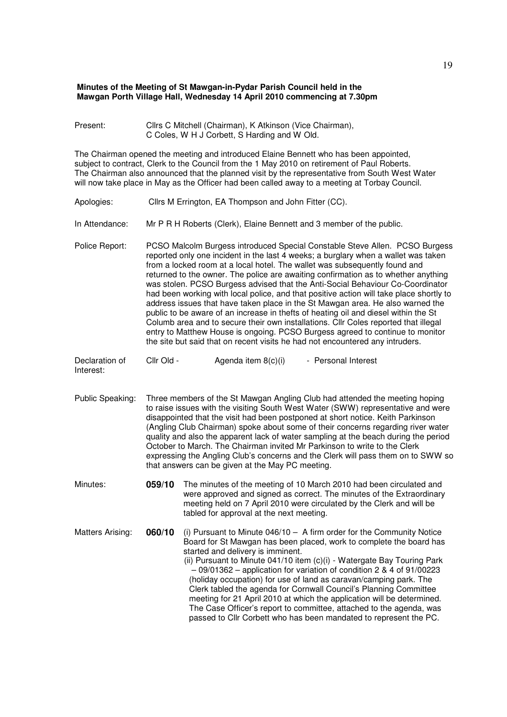## **Minutes of the Meeting of St Mawgan-in-Pydar Parish Council held in the Mawgan Porth Village Hall, Wednesday 14 April 2010 commencing at 7.30pm**

Present: Cllrs C Mitchell (Chairman), K Atkinson (Vice Chairman), C Coles, W H J Corbett, S Harding and W Old.

The Chairman opened the meeting and introduced Elaine Bennett who has been appointed, subject to contract, Clerk to the Council from the 1 May 2010 on retirement of Paul Roberts. The Chairman also announced that the planned visit by the representative from South West Water will now take place in May as the Officer had been called away to a meeting at Torbay Council.

- Apologies: Cllrs M Errington, EA Thompson and John Fitter (CC).
- In Attendance: Mr P R H Roberts (Clerk), Elaine Bennett and 3 member of the public.
- Police Report: PCSO Malcolm Burgess introduced Special Constable Steve Allen. PCSO Burgess reported only one incident in the last 4 weeks; a burglary when a wallet was taken from a locked room at a local hotel. The wallet was subsequently found and returned to the owner. The police are awaiting confirmation as to whether anything was stolen. PCSO Burgess advised that the Anti-Social Behaviour Co-Coordinator had been working with local police, and that positive action will take place shortly to address issues that have taken place in the St Mawgan area. He also warned the public to be aware of an increase in thefts of heating oil and diesel within the St Columb area and to secure their own installations. Cllr Coles reported that illegal entry to Matthew House is ongoing. PCSO Burgess agreed to continue to monitor the site but said that on recent visits he had not encountered any intruders.

Declaration of Cllr Old - Agenda item 8(c)(i) - Personal Interest

Interest:

- Public Speaking: Three members of the St Mawgan Angling Club had attended the meeting hoping to raise issues with the visiting South West Water (SWW) representative and were disappointed that the visit had been postponed at short notice. Keith Parkinson (Angling Club Chairman) spoke about some of their concerns regarding river water quality and also the apparent lack of water sampling at the beach during the period October to March. The Chairman invited Mr Parkinson to write to the Clerk expressing the Angling Club's concerns and the Clerk will pass them on to SWW so that answers can be given at the May PC meeting.
- Minutes: **059/10** The minutes of the meeting of 10 March 2010 had been circulated and were approved and signed as correct. The minutes of the Extraordinary meeting held on 7 April 2010 were circulated by the Clerk and will be tabled for approval at the next meeting.

Matters Arising: **060/10** (i) Pursuant to Minute 046/10 – A firm order for the Community Notice Board for St Mawgan has been placed, work to complete the board has started and delivery is imminent. (ii) Pursuant to Minute 041/10 item (c)(i) - Watergate Bay Touring Park

 – 09/01362 – application for variation of condition 2 & 4 of 91/00223 (holiday occupation) for use of land as caravan/camping park. The Clerk tabled the agenda for Cornwall Council's Planning Committee meeting for 21 April 2010 at which the application will be determined. The Case Officer's report to committee, attached to the agenda, was passed to Cllr Corbett who has been mandated to represent the PC.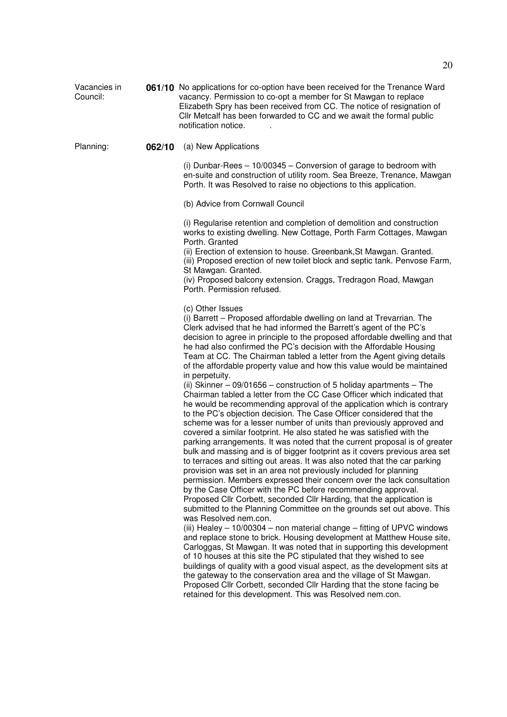Vacancies in Council: **061/10** No applications for co-option have been received for the Trenance Ward vacancy. Permission to co-opt a member for St Mawgan to replace Elizabeth Spry has been received from CC. The notice of resignation of Cllr Metcalf has been forwarded to CC and we await the formal public notification notice. .

## Planning: **062/10** (a) New Applications

(i) Dunbar-Rees – 10/00345 – Conversion of garage to bedroom with en-suite and construction of utility room. Sea Breeze, Trenance, Mawgan Porth. It was Resolved to raise no objections to this application.

(b) Advice from Cornwall Council

(i) Regularise retention and completion of demolition and construction works to existing dwelling. New Cottage, Porth Farm Cottages, Mawgan Porth. Granted

(ii) Erection of extension to house. Greenbank,St Mawgan. Granted. (iii) Proposed erection of new toilet block and septic tank. Penvose Farm, St Mawgan. Granted.

(iv) Proposed balcony extension. Craggs, Tredragon Road, Mawgan Porth. Permission refused.

(c) Other Issues

(i) Barrett – Proposed affordable dwelling on land at Trevarrian. The Clerk advised that he had informed the Barrett's agent of the PC's decision to agree in principle to the proposed affordable dwelling and that he had also confirmed the PC's decision with the Affordable Housing Team at CC. The Chairman tabled a letter from the Agent giving details of the affordable property value and how this value would be maintained in perpetuity.

(ii) Skinner – 09/01656 – construction of 5 holiday apartments – The Chairman tabled a letter from the CC Case Officer which indicated that he would be recommending approval of the application which is contrary to the PC's objection decision. The Case Officer considered that the scheme was for a lesser number of units than previously approved and covered a similar footprint. He also stated he was satisfied with the parking arrangements. It was noted that the current proposal is of greater bulk and massing and is of bigger footprint as it covers previous area set to terraces and sitting out areas. It was also noted that the car parking provision was set in an area not previously included for planning permission. Members expressed their concern over the lack consultation by the Case Officer with the PC before recommending approval. Proposed Cllr Corbett, seconded Cllr Harding, that the application is submitted to the Planning Committee on the grounds set out above. This was Resolved nem.con.

(iii) Healey – 10/00304 – non material change – fitting of UPVC windows and replace stone to brick. Housing development at Matthew House site, Carloggas, St Mawgan. It was noted that in supporting this development of 10 houses at this site the PC stipulated that they wished to see buildings of quality with a good visual aspect, as the development sits at the gateway to the conservation area and the village of St Mawgan. Proposed Cllr Corbett, seconded Cllr Harding that the stone facing be retained for this development. This was Resolved nem.con.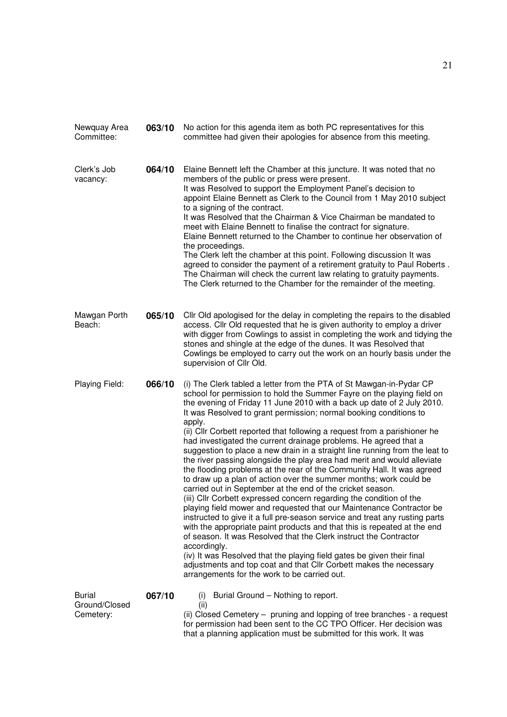| Newquay Area<br>Committee:                  | 063/10 | No action for this agenda item as both PC representatives for this<br>committee had given their apologies for absence from this meeting.                                                                                                                                                                                                                                                                                                                                                                                                                                                                                                                                                                                                                                                                                                                                                                                                                                                                                                                                                                                                                                                                                                                                                                                                                                                                                      |
|---------------------------------------------|--------|-------------------------------------------------------------------------------------------------------------------------------------------------------------------------------------------------------------------------------------------------------------------------------------------------------------------------------------------------------------------------------------------------------------------------------------------------------------------------------------------------------------------------------------------------------------------------------------------------------------------------------------------------------------------------------------------------------------------------------------------------------------------------------------------------------------------------------------------------------------------------------------------------------------------------------------------------------------------------------------------------------------------------------------------------------------------------------------------------------------------------------------------------------------------------------------------------------------------------------------------------------------------------------------------------------------------------------------------------------------------------------------------------------------------------------|
| Clerk's Job<br>vacancy:                     | 064/10 | Elaine Bennett left the Chamber at this juncture. It was noted that no<br>members of the public or press were present.<br>It was Resolved to support the Employment Panel's decision to<br>appoint Elaine Bennett as Clerk to the Council from 1 May 2010 subject<br>to a signing of the contract.<br>It was Resolved that the Chairman & Vice Chairman be mandated to<br>meet with Elaine Bennett to finalise the contract for signature.<br>Elaine Bennett returned to the Chamber to continue her observation of<br>the proceedings.<br>The Clerk left the chamber at this point. Following discussion It was<br>agreed to consider the payment of a retirement gratuity to Paul Roberts.<br>The Chairman will check the current law relating to gratuity payments.<br>The Clerk returned to the Chamber for the remainder of the meeting.                                                                                                                                                                                                                                                                                                                                                                                                                                                                                                                                                                                 |
| Mawgan Porth<br>Beach:                      | 065/10 | Cllr Old apologised for the delay in completing the repairs to the disabled<br>access. Cllr Old requested that he is given authority to employ a driver<br>with digger from Cowlings to assist in completing the work and tidying the<br>stones and shingle at the edge of the dunes. It was Resolved that<br>Cowlings be employed to carry out the work on an hourly basis under the<br>supervision of Cllr Old.                                                                                                                                                                                                                                                                                                                                                                                                                                                                                                                                                                                                                                                                                                                                                                                                                                                                                                                                                                                                             |
| Playing Field:                              | 066/10 | (i) The Clerk tabled a letter from the PTA of St Mawgan-in-Pydar CP<br>school for permission to hold the Summer Fayre on the playing field on<br>the evening of Friday 11 June 2010 with a back up date of 2 July 2010.<br>It was Resolved to grant permission; normal booking conditions to<br>apply.<br>(ii) Cllr Corbett reported that following a request from a parishioner he<br>had investigated the current drainage problems. He agreed that a<br>suggestion to place a new drain in a straight line running from the leat to<br>the river passing alongside the play area had merit and would alleviate<br>the flooding problems at the rear of the Community Hall. It was agreed<br>to draw up a plan of action over the summer months; work could be<br>carried out in September at the end of the cricket season.<br>(iii) Cllr Corbett expressed concern regarding the condition of the<br>playing field mower and requested that our Maintenance Contractor be<br>instructed to give it a full pre-season service and treat any rusting parts<br>with the appropriate paint products and that this is repeated at the end<br>of season. It was Resolved that the Clerk instruct the Contractor<br>accordingly.<br>(iv) It was Resolved that the playing field gates be given their final<br>adjustments and top coat and that Cllr Corbett makes the necessary<br>arrangements for the work to be carried out. |
| <b>Burial</b><br>Ground/Closed<br>Cemetery: | 067/10 | Burial Ground - Nothing to report.<br>(i)<br>(ii)<br>(ii) Closed Cemetery – pruning and lopping of tree branches - a request<br>for permission had been sent to the CC TPO Officer. Her decision was<br>that a planning application must be submitted for this work. It was                                                                                                                                                                                                                                                                                                                                                                                                                                                                                                                                                                                                                                                                                                                                                                                                                                                                                                                                                                                                                                                                                                                                                   |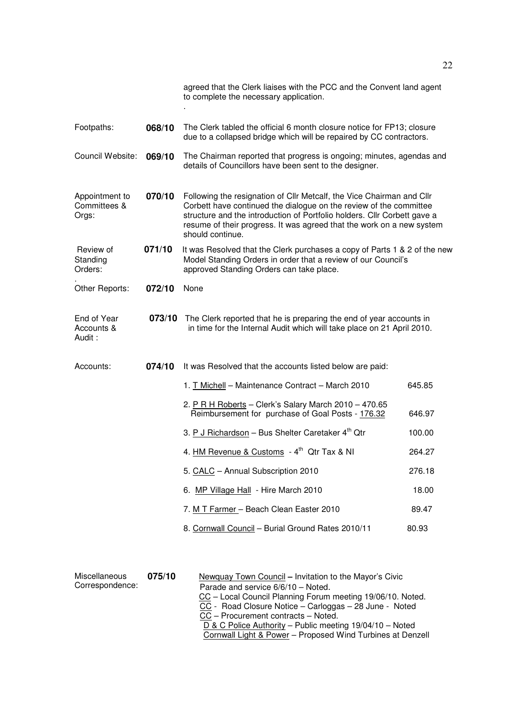|                                         |        | agreed that the Clerk liaises with the PCC and the Convent land agent<br>to complete the necessary application.                                                                                                                                                                                                      |        |  |
|-----------------------------------------|--------|----------------------------------------------------------------------------------------------------------------------------------------------------------------------------------------------------------------------------------------------------------------------------------------------------------------------|--------|--|
| Footpaths:                              | 068/10 | The Clerk tabled the official 6 month closure notice for FP13; closure<br>due to a collapsed bridge which will be repaired by CC contractors.                                                                                                                                                                        |        |  |
| Council Website:                        | 069/10 | The Chairman reported that progress is ongoing; minutes, agendas and<br>details of Councillors have been sent to the designer.                                                                                                                                                                                       |        |  |
| Appointment to<br>Committees &<br>Orgs: | 070/10 | Following the resignation of Cllr Metcalf, the Vice Chairman and Cllr<br>Corbett have continued the dialogue on the review of the committee<br>structure and the introduction of Portfolio holders. Cllr Corbett gave a<br>resume of their progress. It was agreed that the work on a new system<br>should continue. |        |  |
| Review of<br>Standing<br>Orders:        | 071/10 | It was Resolved that the Clerk purchases a copy of Parts 1 & 2 of the new<br>Model Standing Orders in order that a review of our Council's<br>approved Standing Orders can take place.                                                                                                                               |        |  |
| Other Reports:                          | 072/10 | None                                                                                                                                                                                                                                                                                                                 |        |  |
| End of Year<br>Accounts &<br>Audit:     | 073/10 | The Clerk reported that he is preparing the end of year accounts in<br>in time for the Internal Audit which will take place on 21 April 2010.                                                                                                                                                                        |        |  |
| Accounts:                               | 074/10 | It was Resolved that the accounts listed below are paid:                                                                                                                                                                                                                                                             |        |  |
|                                         |        | 1. T Michell - Maintenance Contract - March 2010                                                                                                                                                                                                                                                                     | 645.85 |  |
|                                         |        | 2. P R H Roberts - Clerk's Salary March 2010 - 470.65<br>Reimbursement for purchase of Goal Posts - 176.32                                                                                                                                                                                                           | 646.97 |  |
|                                         |        | 3. P J Richardson - Bus Shelter Caretaker 4 <sup>th</sup> Qtr                                                                                                                                                                                                                                                        | 100.00 |  |
|                                         |        | 4. HM Revenue & Customs - 4 <sup>th</sup> Qtr Tax & NI                                                                                                                                                                                                                                                               | 264.27 |  |
|                                         |        | 5. CALC - Annual Subscription 2010                                                                                                                                                                                                                                                                                   | 276.18 |  |
|                                         |        | 6. MP Village Hall - Hire March 2010                                                                                                                                                                                                                                                                                 | 18.00  |  |
|                                         |        | 7. M T Farmer - Beach Clean Easter 2010                                                                                                                                                                                                                                                                              | 89.47  |  |
|                                         |        | 8. Cornwall Council - Burial Ground Rates 2010/11                                                                                                                                                                                                                                                                    | 80.93  |  |
|                                         |        |                                                                                                                                                                                                                                                                                                                      |        |  |

| Miscellaneous<br>Correspondence: | 075/10 | Newquay Town Council – Invitation to the Mayor's Civic<br>Parade and service 6/6/10 - Noted.<br>CC - Local Council Planning Forum meeting 19/06/10. Noted.<br>CC - Road Closure Notice - Carloggas - 28 June - Noted<br>CC - Procurement contracts - Noted.<br>D & C Police Authority - Public meeting 19/04/10 - Noted<br>Cornwall Light & Power - Proposed Wind Turbines at Denzell |
|----------------------------------|--------|---------------------------------------------------------------------------------------------------------------------------------------------------------------------------------------------------------------------------------------------------------------------------------------------------------------------------------------------------------------------------------------|
|                                  |        |                                                                                                                                                                                                                                                                                                                                                                                       |